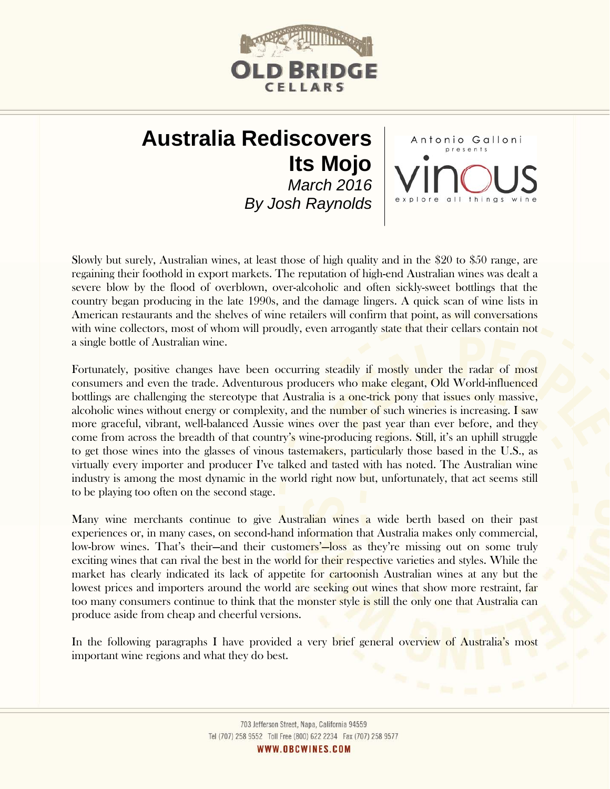

Antonio Galloni

# **Australia Rediscovers Its Mojo**  *March 2016 By Josh Raynolds*

Slowly but surely, Australian wines, at least those of high quality and in the \$20 to \$50 range, are regaining their foothold in export markets. The reputation of high-end Australian wines was dealt a severe blow by the flood of overblown, over-alcoholic and often sickly-sweet bottlings that the country began producing in the late 1990s, and the damage lingers. A quick scan of wine lists in American restaurants and the shelves of wine retailers will confirm that point, as will conversations with wine collectors, most of whom will proudly, even arrogantly state that their cellars contain not a single bottle of Australian wine.

Fortunately, positive changes have been occurring steadily if mostly under the radar of most consumers and even the trade. Adventurous producers who make elegant, Old World-influenced bottlings are challenging the stereotype that Australia is a one-trick pony that issues only massive, alcoholic wines without energy or complexity, and the number of such wineries is increasing. I saw more graceful, vibrant, well-balanced Aussie wines over the past year than ever before, and they come from across the breadth of that country's wine-producing regions. Still, it's an uphill struggle to get those wines into the glasses of vinous tastemakers, particularly those based in the U.S., as virtually every importer and producer I've talked and tasted with has noted. The Australian wine industry is among the most dynamic in the world right now but, unfortunately, that act seems still to be playing too often on the second stage.

Many wine merchants continue to give Australian wines a wide berth based on their past experiences or, in many cases, on second-hand information that Australia makes only commercial, low-brow wines. That's their—and their customers'—loss as they're missing out on some truly exciting wines that can rival the best in the world for their respective varieties and styles. While the market has clearly indicated its lack of appetite for cartoonish Australian wines at any but the lowest prices and importers around the world are seeking out wines that show more restraint, far too many consumers continue to think that the monster style is still the only one that Australia can produce aside from cheap and cheerful versions.

In the following paragraphs I have provided a very brief general overview of Australia's most important wine regions and what they do best.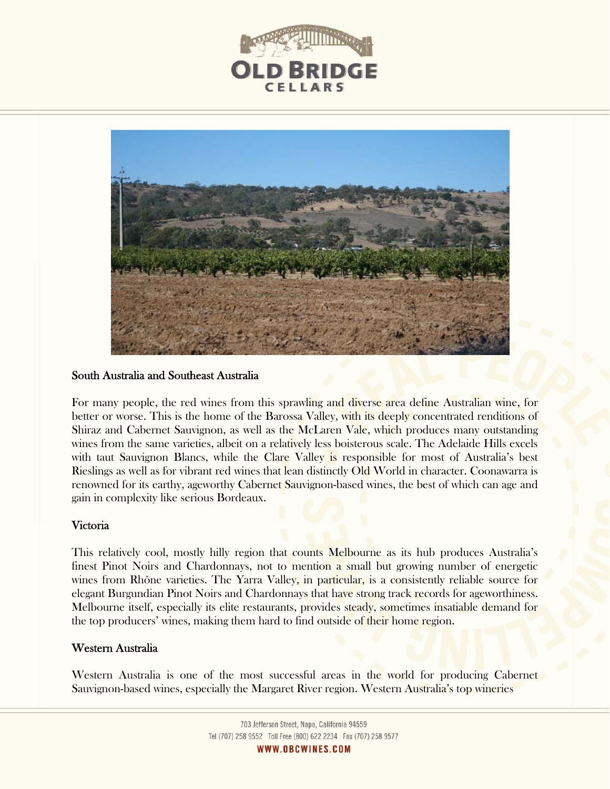



#### South Australia and Southeast Australia

For many people, the red wines from this sprawling and diverse area define Australian wine, for better or worse. This is the home of the Barossa Valley, with its deeply concentrated renditions of Shiraz and Cabernet Sauvignon, as well as the McLaren Vale, which produces many outstanding wines from the same varieties, albeit on a relatively less boisterous scale. The Adelaide Hills excels with taut Sauvignon Blancs, while the Clare Valley is responsible for most of Australia's best Rieslings as well as for vibrant red wines that lean distinctly Old World in character. Coonawarra is renowned for its earthy, ageworthy Cabernet Sauvignon-based wines, the best of which can age and gain in complexity like serious Bordeaux.

#### Victoria

This relatively cool, mostly hilly region that counts Melbourne as its hub produces Australia's finest Pinot Noirs and Chardonnays, not to mention a small but growing number of energetic wines from Rhône varieties. The Yarra Valley, in particular, is a consistently reliable source for elegant Burgundian Pinot Noirs and Chardonnays that have strong track records for ageworthiness. Melbourne itself, especially its elite restaurants, provides steady, sometimes insatiable demand for the top producers' wines, making them hard to find outside of their home region.

## Western Australia

Western Australia is one of the most successful areas in the world for producing Cabernet Sauvignon-based wines, especially the Margaret River region. Western Australia's top wineries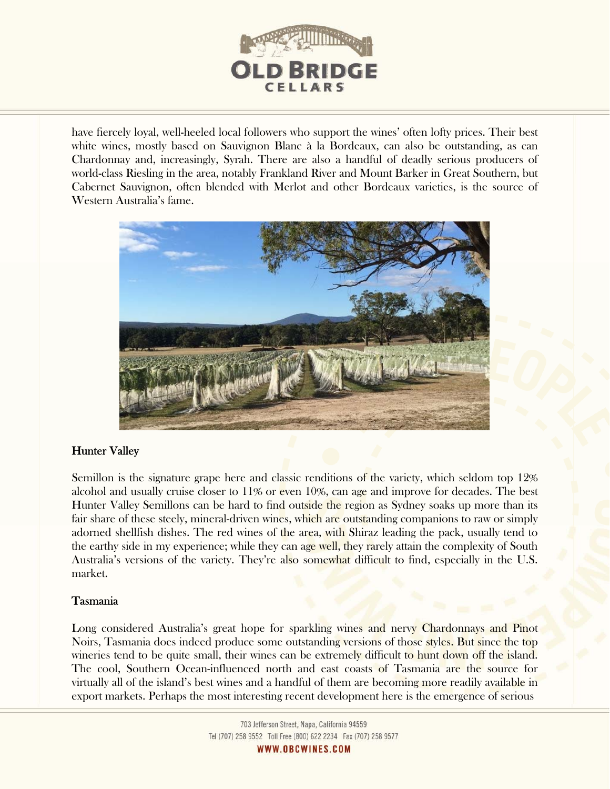

have fiercely loyal, well-heeled local followers who support the wines' often lofty prices. Their best white wines, mostly based on Sauvignon Blanc à la Bordeaux, can also be outstanding, as can Chardonnay and, increasingly, Syrah. There are also a handful of deadly serious producers of world-class Riesling in the area, notably Frankland River and Mount Barker in Great Southern, but Cabernet Sauvignon, often blended with Merlot and other Bordeaux varieties, is the source of Western Australia's fame.



# Hunter Valley

Semillon is the signature grape here and classic renditions of the variety, which seldom top 12% alcohol and usually cruise closer to 11% or even 10%, can age and improve for decades. The best Hunter Valley Semillons can be hard to find outside the region as Sydney soaks up more than its fair share of these steely, mineral-driven wines, which are outstanding companions to raw or simply adorned shellfish dishes. The red wines of the area, with Shiraz leading the pack, usually tend to the earthy side in my experience; while they can age well, they rarely attain the complexity of South Australia's versions of the variety. They're also somewhat difficult to find, especially in the U.S. market.

# Tasmania

Long considered Australia's great hope for sparkling wines and nervy Chardonnays and Pinot Noirs, Tasmania does indeed produce some outstanding versions of those styles. But since the top wineries tend to be quite small, their wines can be extremely difficult to hunt down off the island. The cool, Southern Ocean-influenced north and east coasts of Tasmania are the source for virtually all of the island's best wines and a handful of them are becoming more readily available in export markets. Perhaps the most interesting recent development here is the emergence of serious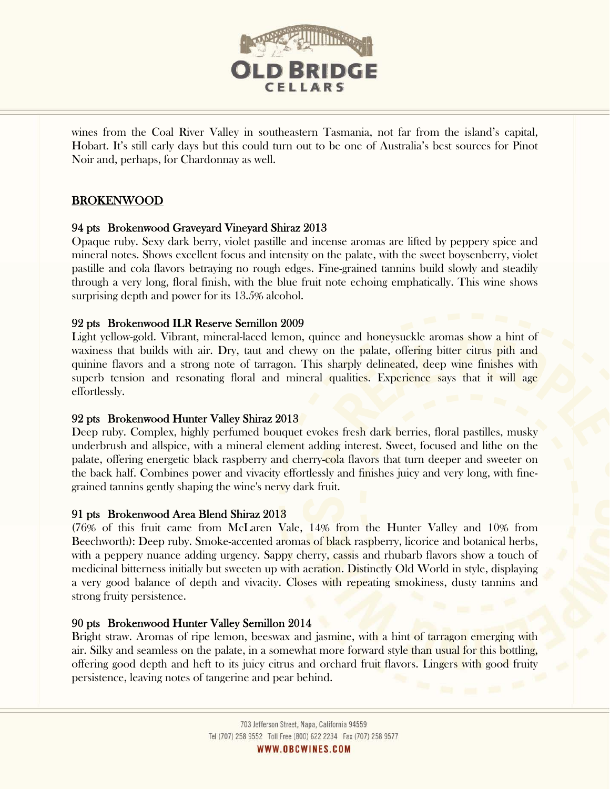

wines from the Coal River Valley in southeastern Tasmania, not far from the island's capital, Hobart. It's still early days but this could turn out to be one of Australia's best sources for Pinot Noir and, perhaps, for Chardonnay as well.

# BROKENWOOD

## 94 pts Brokenwood Graveyard Vineyard Shiraz 2013

Opaque ruby. Sexy dark berry, violet pastille and incense aromas are lifted by peppery spice and mineral notes. Shows excellent focus and intensity on the palate, with the sweet boysenberry, violet pastille and cola flavors betraying no rough edges. Fine-grained tannins build slowly and steadily through a very long, floral finish, with the blue fruit note echoing emphatically. This wine shows surprising depth and power for its 13.5% alcohol.

## 92 pts Brokenwood ILR Reserve Semillon 2009

Light yellow-gold. Vibrant, mineral-laced lemon, quince and honeysuckle aromas show a hint of waxiness that builds with air. Dry, taut and chewy on the palate, offering bitter citrus pith and quinine flavors and a strong note of tarragon. This sharply delineated, deep wine finishes with superb tension and resonating floral and mineral qualities. Experience says that it will age effortlessly.

## 92 pts Brokenwood Hunter Valley Shiraz 2013

Deep ruby. Complex, highly perfumed bouquet evokes fresh dark berries, floral pastilles, musky underbrush and allspice, with a mineral element adding interest. Sweet, focused and lithe on the palate, offering energetic black raspberry and cherry-cola flavors that turn deeper and sweeter on the back half. Combines power and vivacity effortlessly and finishes juicy and very long, with finegrained tannins gently shaping the wine's nervy dark fruit.

## 91 pts Brokenwood Area Blend Shiraz 2013

(76% of this fruit came from McLaren Vale, 14% from the Hunter Valley and 10% from Beechworth): Deep ruby. Smoke-accented aromas of black raspberry, licorice and botanical herbs, with a peppery nuance adding urgency. Sappy cherry, cassis and rhubarb flavors show a touch of medicinal bitterness initially but sweeten up with aeration. Distinctly Old World in style, displaying a very good balance of depth and vivacity. Closes with repeating smokiness, dusty tannins and strong fruity persistence.

## 90 pts Brokenwood Hunter Valley Semillon 2014

l

Bright straw. Aromas of ripe lemon, beeswax and jasmine, with a hint of tarragon emerging with air. Silky and seamless on the palate, in a somewhat more forward style than usual for this bottling, offering good depth and heft to its juicy citrus and orchard fruit flavors. Lingers with good fruity persistence, leaving notes of tangerine and pear behind.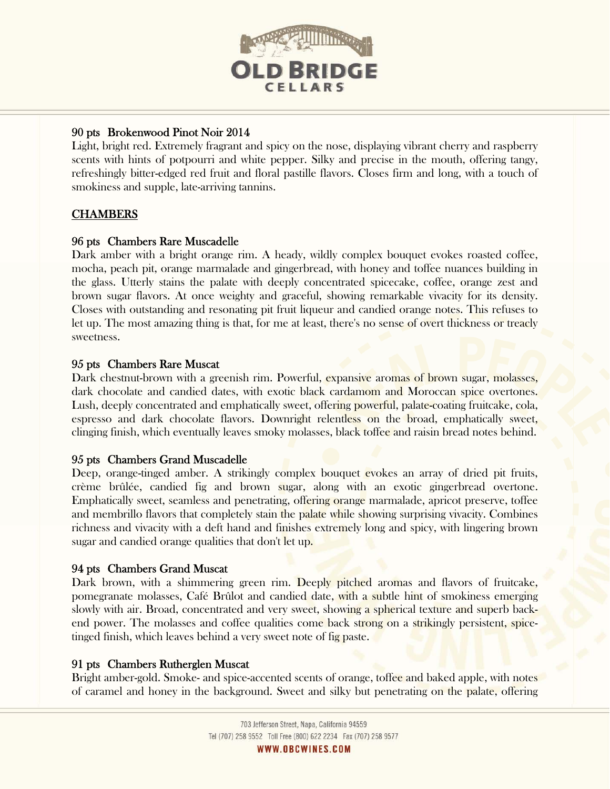

# 90 pts Brokenwood Pinot Noir 2014

Light, bright red. Extremely fragrant and spicy on the nose, displaying vibrant cherry and raspberry scents with hints of potpourri and white pepper. Silky and precise in the mouth, offering tangy, refreshingly bitter-edged red fruit and floral pastille flavors. Closes firm and long, with a touch of smokiness and supple, late-arriving tannins.

# **CHAMBERS**

# 96 pts Chambers Rare Muscadelle

Dark amber with a bright orange rim. A heady, wildly complex bouquet evokes roasted coffee, mocha, peach pit, orange marmalade and gingerbread, with honey and toffee nuances building in the glass. Utterly stains the palate with deeply concentrated spicecake, coffee, orange zest and brown sugar flavors. At once weighty and graceful, showing remarkable vivacity for its density. Closes with outstanding and resonating pit fruit liqueur and candied orange notes. This refuses to let up. The most amazing thing is that, for me at least, there's no sense of overt thickness or treacly sweetness.

## 95 pts Chambers Rare Muscat

Dark chestnut-brown with a greenish rim. Powerful, expansive aromas of brown sugar, molasses, dark chocolate and candied dates, with exotic black cardamom and Moroccan spice overtones. Lush, deeply concentrated and emphatically sweet, offering powerful, palate-coating fruitcake, cola, espresso and dark chocolate flavors. Downright relentless on the broad, emphatically sweet, clinging finish, which eventually leaves smoky molasses, black toffee and raisin bread notes behind.

## 95 pts Chambers Grand Muscadelle

Deep, orange-tinged amber. A strikingly complex bouquet evokes an array of dried pit fruits, crème brûlée, candied fig and brown sugar, along with an exotic gingerbread overtone. Emphatically sweet, seamless and penetrating, offering orange marmalade, apricot preserve, toffee and membrillo flavors that completely stain the palate while showing surprising vivacity. Combines richness and vivacity with a deft hand and finishes extremely long and spicy, with lingering brown sugar and candied orange qualities that don't let up.

## 94 pts Chambers Grand Muscat

Dark brown, with a shimmering green rim. Deeply pitched aromas and flavors of fruitcake, pomegranate molasses, Café Brûlot and candied date, with a subtle hint of smokiness emerging slowly with air. Broad, concentrated and very sweet, showing a spherical texture and superb backend power. The molasses and coffee qualities come back strong on a strikingly persistent, spicetinged finish, which leaves behind a very sweet note of fig paste.

# 91 pts Chambers Rutherglen Muscat

Bright amber-gold. Smoke- and spice-accented scents of orange, toffee and baked apple, with notes of caramel and honey in the background. Sweet and silky but penetrating on the palate, offering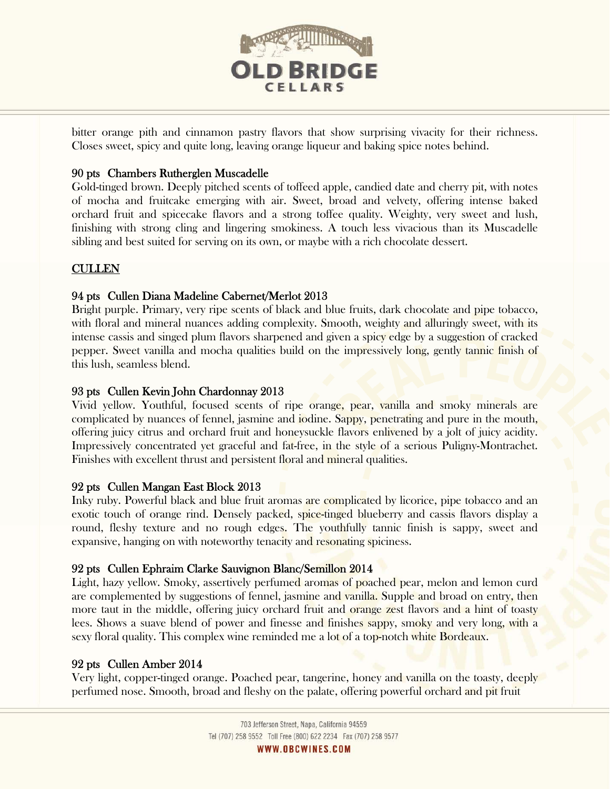

bitter orange pith and cinnamon pastry flavors that show surprising vivacity for their richness. Closes sweet, spicy and quite long, leaving orange liqueur and baking spice notes behind.

# 90 pts Chambers Rutherglen Muscadelle

Gold-tinged brown. Deeply pitched scents of toffeed apple, candied date and cherry pit, with notes of mocha and fruitcake emerging with air. Sweet, broad and velvety, offering intense baked orchard fruit and spicecake flavors and a strong toffee quality. Weighty, very sweet and lush, finishing with strong cling and lingering smokiness. A touch less vivacious than its Muscadelle sibling and best suited for serving on its own, or maybe with a rich chocolate dessert.

# CULLEN

# 94 pts Cullen Diana Madeline Cabernet/Merlot 2013

Bright purple. Primary, very ripe scents of black and blue fruits, dark chocolate and pipe tobacco, with floral and mineral nuances adding complexity. Smooth, weighty and alluringly sweet, with its intense cassis and singed plum flavors sharpened and given a spicy edge by a suggestion of cracked pepper. Sweet vanilla and mocha qualities build on the impressively long, gently tannic finish of this lush, seamless blend.

# 93 pts Cullen Kevin John Chardonnay 2013

Vivid yellow. Youthful, focused scents of ripe orange, pear, vanilla and smoky minerals are complicated by nuances of fennel, jasmine and iodine. Sappy, penetrating and pure in the mouth, offering juicy citrus and orchard fruit and honeysuckle flavors enlivened by a jolt of juicy acidity. Impressively concentrated yet graceful and fat-free, in the style of a serious Puligny-Montrachet. Finishes with excellent thrust and persistent floral and mineral qualities.

# 92 pts Cullen Mangan East Block 2013

Inky ruby. Powerful black and blue fruit aromas are complicated by licorice, pipe tobacco and an exotic touch of orange rind. Densely packed, spice-tinged blueberry and cassis flavors display a round, fleshy texture and no rough edges. The youthfully tannic finish is sappy, sweet and expansive, hanging on with noteworthy tenacity and resonating spiciness.

# 92 pts Cullen Ephraim Clarke Sauvignon Blanc/Semillon 2014

Light, hazy yellow. Smoky, assertively perfumed aromas of poached pear, melon and lemon curd are complemented by suggestions of fennel, jasmine and vanilla. Supple and broad on entry, then more taut in the middle, offering juicy orchard fruit and **orange zest flavors and a hint** of toasty lees. Shows a suave blend of power and finesse and finishes sappy, smoky and very long, with a sexy floral quality. This complex wine reminded me a lot of a top-notch white Bordeaux.

# 92 pts Cullen Amber 2014

Very light, copper-tinged orange. Poached pear, tangerine, honey and vanilla on the toasty, deeply perfumed nose. Smooth, broad and fleshy on the palate, offering powerful orchard and pit fruit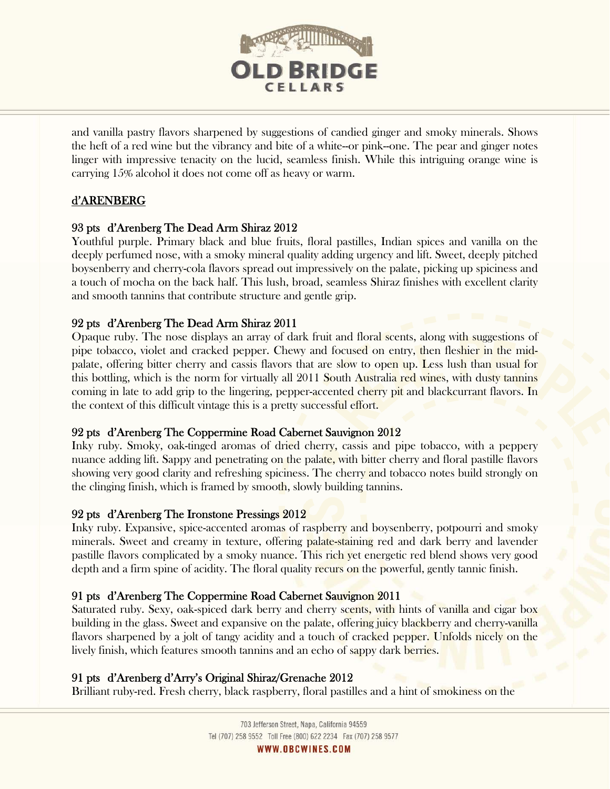

and vanilla pastry flavors sharpened by suggestions of candied ginger and smoky minerals. Shows the heft of a red wine but the vibrancy and bite of a white--or pink--one. The pear and ginger notes linger with impressive tenacity on the lucid, seamless finish. While this intriguing orange wine is carrying 15% alcohol it does not come off as heavy or warm.

# d'ARENBERG

# 93 pts d'Arenberg The Dead Arm Shiraz 2012

Youthful purple. Primary black and blue fruits, floral pastilles, Indian spices and vanilla on the deeply perfumed nose, with a smoky mineral quality adding urgency and lift. Sweet, deeply pitched boysenberry and cherry-cola flavors spread out impressively on the palate, picking up spiciness and a touch of mocha on the back half. This lush, broad, seamless Shiraz finishes with excellent clarity and smooth tannins that contribute structure and gentle grip.

# 92 pts d'Arenberg The Dead Arm Shiraz 2011

Opaque ruby. The nose displays an array of dark fruit and floral scents, along with suggestions of pipe tobacco, violet and cracked pepper. Chewy and focused on entry, then fleshier in the midpalate, offering bitter cherry and cassis flavors that are slow to open up. Less lush than usual for this bottling, which is the norm for virtually all 2011 South Australia red wines, with dusty tannins coming in late to add grip to the lingering, pepper-accented cherry pit and blackcurrant flavors. In the context of this difficult vintage this is a pretty successful effort.

# 92 pts d'Arenberg The Coppermine Road Cabernet Sauvignon 2012

Inky ruby. Smoky, oak-tinged aromas of dried cherry, cassis and pipe tobacco, with a peppery nuance adding lift. Sappy and penetrating on the palate, with bitter cherry and floral pastille flavors showing very good clarity and refreshing spiciness. The cherry and tobacco notes build strongly on the clinging finish, which is framed by smooth, slowly building tannins.

# 92 pts d'Arenberg The Ironstone Pressings 2012

Inky ruby. Expansive, spice-accented aromas of raspberry and boysenberry, potpourri and smoky minerals. Sweet and creamy in texture, offering palate-staining red and dark berry and lavender pastille flavors complicated by a smoky nuance. This rich yet energetic red blend shows very good depth and a firm spine of acidity. The floral quality recurs on the powerful, gently tannic finish.

# 91 pts d'Arenberg The Coppermine Road Cabernet Sauvignon 2011

Saturated ruby. Sexy, oak-spiced dark berry and cherry scents, with hints of vanilla and cigar box building in the glass. Sweet and expansive on the palate, offering juicy blackberry and cherry-vanilla flavors sharpened by a jolt of tangy acidity and a touch of cracked pepper. Unfolds nicely on the lively finish, which features smooth tannins and an echo of sappy dark berries.

# 91 pts d'Arenberg d'Arry's Original Shiraz/Grenache 2012

Brilliant ruby-red. Fresh cherry, black raspberry, floral pastilles and a hint of smokiness on the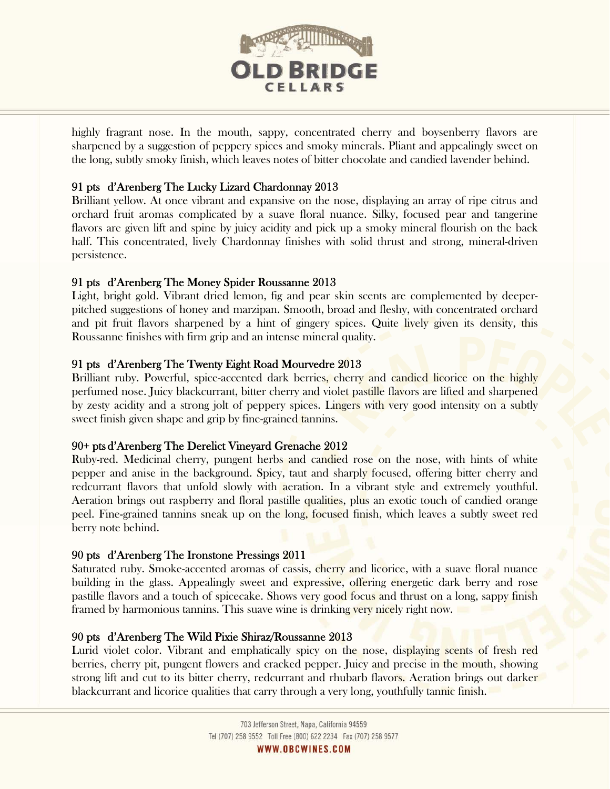

highly fragrant nose. In the mouth, sappy, concentrated cherry and boysenberry flavors are sharpened by a suggestion of peppery spices and smoky minerals. Pliant and appealingly sweet on the long, subtly smoky finish, which leaves notes of bitter chocolate and candied lavender behind.

# 91 pts d'Arenberg The Lucky Lizard Chardonnay 2013

Brilliant yellow. At once vibrant and expansive on the nose, displaying an array of ripe citrus and orchard fruit aromas complicated by a suave floral nuance. Silky, focused pear and tangerine flavors are given lift and spine by juicy acidity and pick up a smoky mineral flourish on the back half. This concentrated, lively Chardonnay finishes with solid thrust and strong, mineral-driven persistence.

# 91 pts d'Arenberg The Money Spider Roussanne 2013

Light, bright gold. Vibrant dried lemon, fig and pear skin scents are complemented by deeperpitched suggestions of honey and marzipan. Smooth, broad and fleshy, with concentrated orchard and pit fruit flavors sharpened by a hint of gingery spices. Quite lively given its density, this Roussanne finishes with firm grip and an intense mineral quality.

# 91 pts d'Arenberg The Twenty Eight Road Mourvedre 2013

Brilliant ruby. Powerful, spice-accented dark berries, cherry and candied licorice on the highly perfumed nose. Juicy blackcurrant, bitter cherry and violet pastille flavors are lifted and sharpened by zesty acidity and a strong jolt of peppery spices. Lingers with very good intensity on a subtly sweet finish given shape and grip by fine-grained tannins.

# 90+ pts d'Arenberg The Derelict Vineyard Grenache 2012

Ruby-red. Medicinal cherry, pungent herbs and candied rose on the nose, with hints of white pepper and anise in the background. Spicy, taut and sharply focused, offering bitter cherry and redcurrant flavors that unfold slowly with aeration. In a vibrant style and extremely youthful. Aeration brings out raspberry and floral pastille qualities, plus an exotic touch of candied orange peel. Fine-grained tannins sneak up on the long, focused finish, which leaves a subtly sweet red berry note behind.

# 90 pts d'Arenberg The Ironstone Pressings 2011

l

Saturated ruby. Smoke-accented aromas of cassis, cherry and licorice, with a suave floral nuance building in the glass. Appealingly sweet and expressive, offering energetic dark berry and rose pastille flavors and a touch of spicecake. Shows very good focus and thrust on a long, sappy finish framed by harmonious tannins. This suave wine is drinking very nicely right now.

# 90 pts d'Arenberg The Wild Pixie Shiraz/Roussanne 2013

Lurid violet color. Vibrant and emphatically spicy on the nose, displaying scents of fresh red berries, cherry pit, pungent flowers and cracked pepper. Juicy and precise in the mouth, showing strong lift and cut to its bitter cherry, redcurrant and rhubarb flavors. Aeration brings out darker blackcurrant and licorice qualities that carry through a very long, youthfully tannic finish.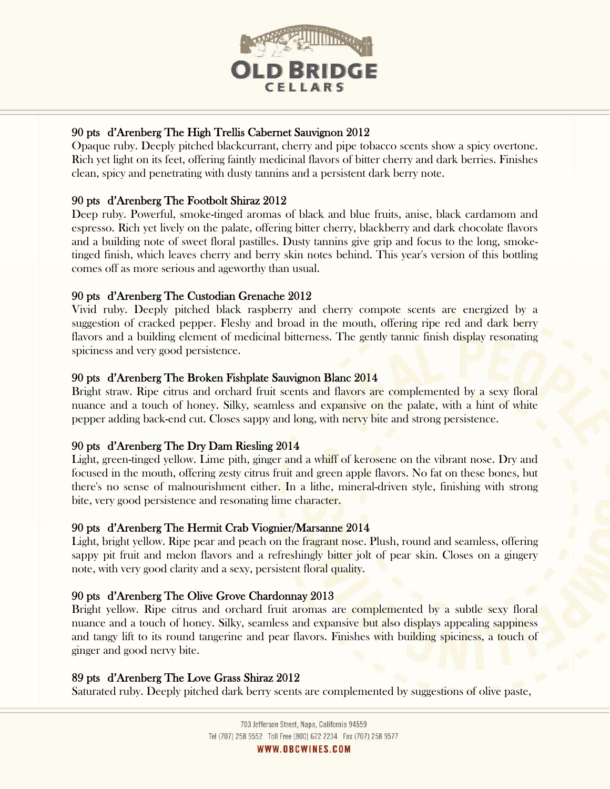

# 90 pts d'Arenberg The High Trellis Cabernet Sauvignon 2012

Opaque ruby. Deeply pitched blackcurrant, cherry and pipe tobacco scents show a spicy overtone. Rich yet light on its feet, offering faintly medicinal flavors of bitter cherry and dark berries. Finishes clean, spicy and penetrating with dusty tannins and a persistent dark berry note.

# 90 pts d'Arenberg The Footbolt Shiraz 2012

Deep ruby. Powerful, smoke-tinged aromas of black and blue fruits, anise, black cardamom and espresso. Rich yet lively on the palate, offering bitter cherry, blackberry and dark chocolate flavors and a building note of sweet floral pastilles. Dusty tannins give grip and focus to the long, smoketinged finish, which leaves cherry and berry skin notes behind. This year's version of this bottling comes off as more serious and ageworthy than usual.

# 90 pts d'Arenberg The Custodian Grenache 2012

Vivid ruby. Deeply pitched black raspberry and cherry compote scents are energized by a suggestion of cracked pepper. Fleshy and broad in the mouth, offering ripe red and dark berry flavors and a building element of medicinal bitterness. The gently tannic finish display resonating spiciness and very good persistence.

# 90 pts d'Arenberg The Broken Fishplate Sauvignon Blanc 2014

Bright straw. Ripe citrus and orchard fruit scents and flavors are complemented by a sexy floral nuance and a touch of honey. Silky, seamless and expansive on the palate, with a hint of white pepper adding back-end cut. Closes sappy and long, with nervy bite and strong persistence.

# 90 pts d'Arenberg The Dry Dam Riesling 2014

Light, green-tinged yellow. Lime pith, ginger and a whiff of kerosene on the vibrant nose. Dry and focused in the mouth, offering zesty citrus fruit and green apple flavors. No fat on these bones, but there's no sense of malnourishment either. In a lithe, mineral-driven style, finishing with strong bite, very good persistence and resonating lime character.

# 90 pts d'Arenberg The Hermit Crab Viognier/Marsanne 2014

Light, bright yellow. Ripe pear and peach on the fragrant nose. Plush, round and seamless, offering sappy pit fruit and melon flavors and a refreshingly bitter jolt of pear skin. Closes on a gingery note, with very good clarity and a sexy, persistent floral quality.

# 90 pts d'Arenberg The Olive Grove Chardonnay 2013

Bright yellow. Ripe citrus and orchard fruit aromas are complemented by a subtle sexy floral nuance and a touch of honey. Silky, seamless and expansive but also displays appealing sappiness and tangy lift to its round tangerine and pear flavors. Finishes with building spiciness, a touch of ginger and good nervy bite.

# 89 pts d'Arenberg The Love Grass Shiraz 2012

Saturated ruby. Deeply pitched dark berry scents are complemented by suggestions of olive paste,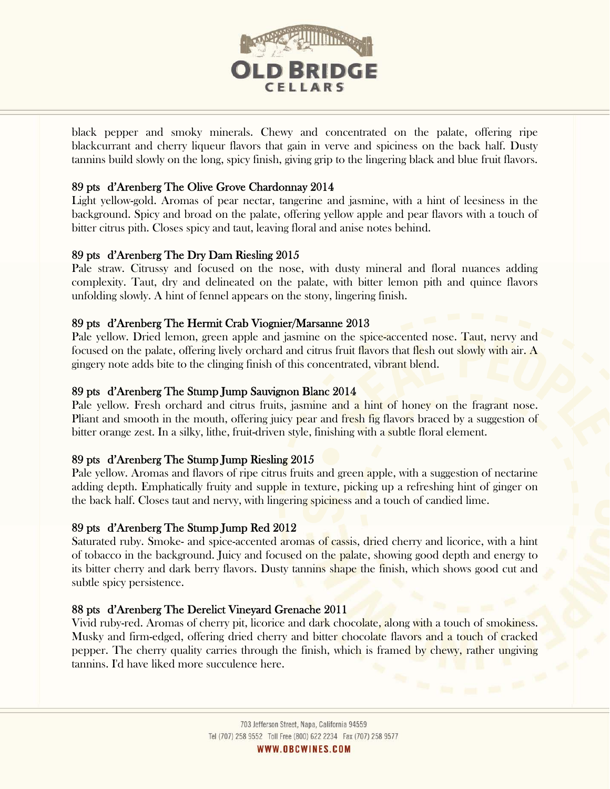

black pepper and smoky minerals. Chewy and concentrated on the palate, offering ripe blackcurrant and cherry liqueur flavors that gain in verve and spiciness on the back half. Dusty tannins build slowly on the long, spicy finish, giving grip to the lingering black and blue fruit flavors.

# 89 pts d'Arenberg The Olive Grove Chardonnay 2014

Light yellow-gold. Aromas of pear nectar, tangerine and jasmine, with a hint of leesiness in the background. Spicy and broad on the palate, offering yellow apple and pear flavors with a touch of bitter citrus pith. Closes spicy and taut, leaving floral and anise notes behind.

## 89 pts d'Arenberg The Dry Dam Riesling 2015

Pale straw. Citrussy and focused on the nose, with dusty mineral and floral nuances adding complexity. Taut, dry and delineated on the palate, with bitter lemon pith and quince flavors unfolding slowly. A hint of fennel appears on the stony, lingering finish.

## 89 pts d'Arenberg The Hermit Crab Viognier/Marsanne 2013

Pale yellow. Dried lemon, green apple and jasmine on the spice-accented nose. Taut, nervy and focused on the palate, offering lively orchard and citrus fruit flavors that flesh out slowly with air. A gingery note adds bite to the clinging finish of this concentrated, vibrant blend.

## 89 pts d'Arenberg The Stump Jump Sauvignon Blanc 2014

Pale yellow. Fresh orchard and citrus fruits, jasmine and a hint of honey on the fragrant nose. Pliant and smooth in the mouth, offering juicy pear and fresh fig flavors braced by a suggestion of bitter orange zest. In a silky, lithe, fruit-driven style, finishing with a subtle floral element.

## 89 pts d'Arenberg The Stump Jump Riesling 2015

Pale yellow. Aromas and flavors of ripe citrus fruits and green apple, with a suggestion of nectarine adding depth. Emphatically fruity and supple in texture, picking up a refreshing hint of ginger on the back half. Closes taut and nervy, with lingering spiciness and a touch of candied lime.

# 89 pts d'Arenberg The Stump Jump Red 2012

l

Saturated ruby. Smoke- and spice-accented aromas of cassis, dried cherry and licorice, with a hint of tobacco in the background. Juicy and focused on the palate, showing good depth and energy to its bitter cherry and dark berry flavors. Dusty tannins shape the finish, which shows good cut and subtle spicy persistence.

## 88 pts d'Arenberg The Derelict Vineyard Grenache 2011

Vivid ruby-red. Aromas of cherry pit, licorice and dark chocolate, along with a touch of smokiness. Musky and firm-edged, offering dried cherry and bitter chocolate flavors and a touch of cracked pepper. The cherry quality carries through the finish, which is framed by chewy, rather ungiving tannins. I'd have liked more succulence here.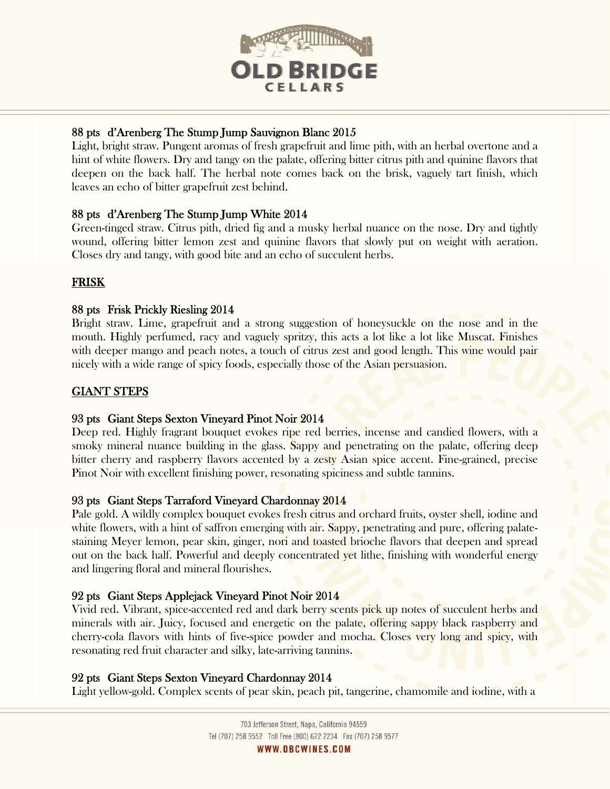

# 88 pts d'Arenberg The Stump Jump Sauvignon Blanc 2015

Light, bright straw. Pungent aromas of fresh grapefruit and lime pith, with an herbal overtone and a hint of white flowers. Dry and tangy on the palate, offering bitter citrus pith and quinine flavors that deepen on the back half. The herbal note comes back on the brisk, vaguely tart finish, which leaves an echo of bitter grapefruit zest behind.

# 88 pts d'Arenberg The Stump Jump White 2014

Green-tinged straw. Citrus pith, dried fig and a musky herbal nuance on the nose. Dry and tightly wound, offering bitter lemon zest and quinine flavors that slowly put on weight with aeration. Closes dry and tangy, with good bite and an echo of succulent herbs.

# FRISK

# 88 pts Frisk Prickly Riesling 2014

Bright straw. Lime, grapefruit and a strong suggestion of honeysuckle on the nose and in the mouth. Highly perfumed, racy and vaguely spritzy, this acts a lot like a lot like Muscat. Finishes with deeper mango and peach notes, a touch of citrus zest and good length. This wine would pair nicely with a wide range of spicy foods, especially those of the Asian persuasion.

# GIANT STEPS

# 93 pts Giant Steps Sexton Vineyard Pinot Noir 2014

Deep red. Highly fragrant bouquet evokes ripe red berries, incense and candied flowers, with a smoky mineral nuance building in the glass. Sappy and penetrating on the palate, offering deep bitter cherry and raspberry flavors accented by a zesty Asian spice accent. Fine-grained, precise Pinot Noir with excellent finishing power, resonating spiciness and subtle tannins.

# 93 pts Giant Steps Tarraford Vineyard Chardonnay 2014

Pale gold. A wildly complex bouquet evokes fresh citrus and orchard fruits, oyster shell, iodine and white flowers, with a hint of saffron emerging with air. Sappy, penetrating and pure, offering palatestaining Meyer lemon, pear skin, ginger, nori and toasted brioche flavors that deepen and spread out on the back half. Powerful and deeply concentrated yet lithe, finishing with wonderful energy and lingering floral and mineral flourishes.

# 92 pts Giant Steps Applejack Vineyard Pinot Noir 2014

Vivid red. Vibrant, spice-accented red and dark berry scents pick up notes of succulent herbs and minerals with air. Juicy, focused and energetic on the palate, offering sappy black raspberry and cherry-cola flavors with hints of five-spice powder and mocha. Closes very long and spicy, with resonating red fruit character and silky, late-arriving tannins.

# 92 pts Giant Steps Sexton Vineyard Chardonnay 2014

Light yellow-gold. Complex scents of pear skin, peach pit, tangerine, chamomile and iodine, with a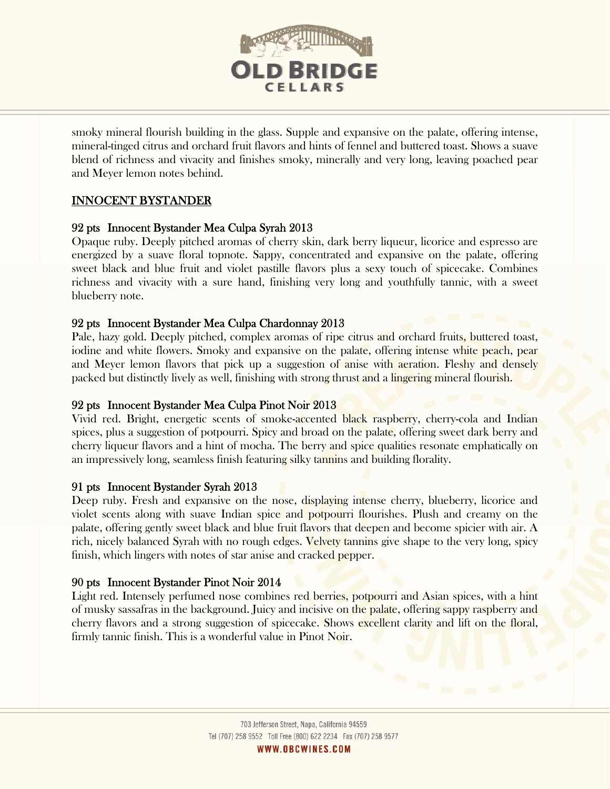

smoky mineral flourish building in the glass. Supple and expansive on the palate, offering intense, mineral-tinged citrus and orchard fruit flavors and hints of fennel and buttered toast. Shows a suave blend of richness and vivacity and finishes smoky, minerally and very long, leaving poached pear and Meyer lemon notes behind.

# INNOCENT BYSTANDER

# 92 pts Innocent Bystander Mea Culpa Syrah 2013

Opaque ruby. Deeply pitched aromas of cherry skin, dark berry liqueur, licorice and espresso are energized by a suave floral topnote. Sappy, concentrated and expansive on the palate, offering sweet black and blue fruit and violet pastille flavors plus a sexy touch of spicecake. Combines richness and vivacity with a sure hand, finishing very long and youthfully tannic, with a sweet blueberry note.

# 92 pts Innocent Bystander Mea Culpa Chardonnay 2013

Pale, hazy gold. Deeply pitched, complex aromas of ripe citrus and orchard fruits, buttered toast, iodine and white flowers. Smoky and expansive on the palate, offering intense white peach, pear and Meyer lemon flavors that pick up a suggestion of anise with aeration. Fleshy and densely packed but distinctly lively as well, finishing with strong thrust and a lingering mineral flourish.

# 92 pts Innocent Bystander Mea Culpa Pinot Noir 2013

Vivid red. Bright, energetic scents of smoke-accented black raspberry, cherry-cola and Indian spices, plus a suggestion of potpourri. Spicy and broad on the palate, offering sweet dark berry and cherry liqueur flavors and a hint of mocha. The berry and spice qualities resonate emphatically on an impressively long, seamless finish featuring silky tannins and building florality.

# 91 pts Innocent Bystander Syrah 2013

Deep ruby. Fresh and expansive on the nose, displaying intense cherry, blueberry, licorice and violet scents along with suave Indian spice and potpourri flourishes. Plush and creamy on the palate, offering gently sweet black and blue fruit flavors that deepen and become spicier with air. A rich, nicely balanced Syrah with no rough edges. Velvety tannins give shape to the very long, spicy finish, which lingers with notes of star anise and cracked pepper.

# 90 pts Innocent Bystander Pinot Noir 2014

l

Light red. Intensely perfumed nose combines red berries, potpourri and Asian spices, with a hint of musky sassafras in the background. Juicy and incisive on the palate, offering sappy raspberry and cherry flavors and a strong suggestion of spicecake. Shows excellent clarity and lift on the floral, firmly tannic finish. This is a wonderful value in Pinot Noir.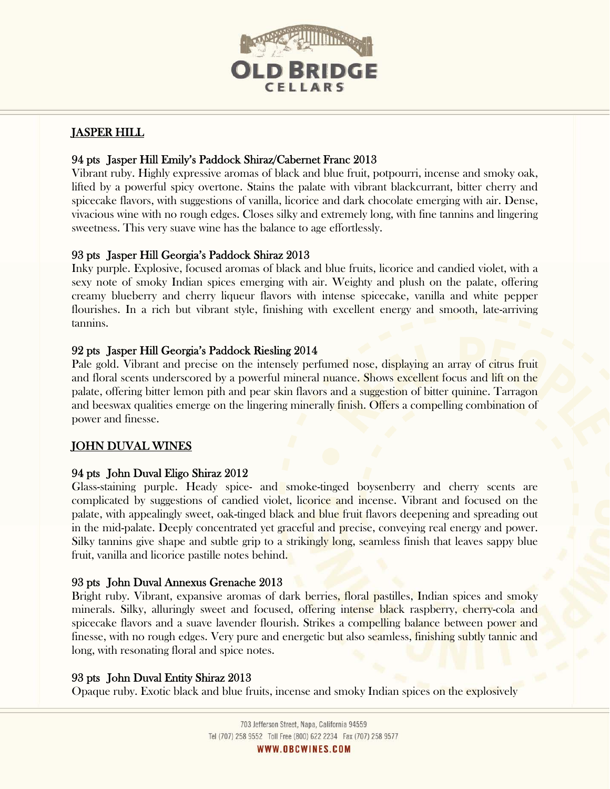

# JASPER HILL

# 94 pts Jasper Hill Emily's Paddock Shiraz/Cabernet Franc 2013

Vibrant ruby. Highly expressive aromas of black and blue fruit, potpourri, incense and smoky oak, lifted by a powerful spicy overtone. Stains the palate with vibrant blackcurrant, bitter cherry and spicecake flavors, with suggestions of vanilla, licorice and dark chocolate emerging with air. Dense, vivacious wine with no rough edges. Closes silky and extremely long, with fine tannins and lingering sweetness. This very suave wine has the balance to age effortlessly.

# 93 pts Jasper Hill Georgia's Paddock Shiraz 2013

Inky purple. Explosive, focused aromas of black and blue fruits, licorice and candied violet, with a sexy note of smoky Indian spices emerging with air. Weighty and plush on the palate, offering creamy blueberry and cherry liqueur flavors with intense spicecake, vanilla and white pepper flourishes. In a rich but vibrant style, finishing with excellent energy and smooth, late-arriving tannins.

# 92 pts Jasper Hill Georgia's Paddock Riesling 2014

Pale gold. Vibrant and precise on the intensely perfumed nose, displaying an array of citrus fruit and floral scents underscored by a powerful mineral nuance. Shows excellent focus and lift on the palate, offering bitter lemon pith and pear skin flavors and a suggestion of bitter quinine. Tarragon and beeswax qualities emerge on the lingering minerally finish. Offers a compelling combination of power and finesse.

# JOHN DUVAL WINES

## 94 pts John Duval Eligo Shiraz 2012

Glass-staining purple. Heady spice- and smoke-tinged boysenberry and cherry scents are complicated by suggestions of candied violet, licorice and incense. Vibrant and focused on the palate, with appealingly sweet, oak-tinged black and blue fruit flavors deepening and spreading out in the mid-palate. Deeply concentrated yet graceful and precise, conveying real energy and power. Silky tannins give shape and subtle grip to a strikingly long, seamless finish that leaves sappy blue fruit, vanilla and licorice pastille notes behind.

## 93 pts John Duval Annexus Grenache 2013

Bright ruby. Vibrant, expansive aromas of dark berries, floral pastilles, Indian spices and smoky minerals. Silky, alluringly sweet and focused, offering intense black raspberry, cherry-cola and spicecake flavors and a suave lavender flourish. Strikes a compelling balance between power and finesse, with no rough edges. Very pure and energetic but also seamless, finishing subtly tannic and long, with resonating floral and spice notes.

## 93 pts John Duval Entity Shiraz 2013

Opaque ruby. Exotic black and blue fruits, incense and smoky Indian spices on the explosively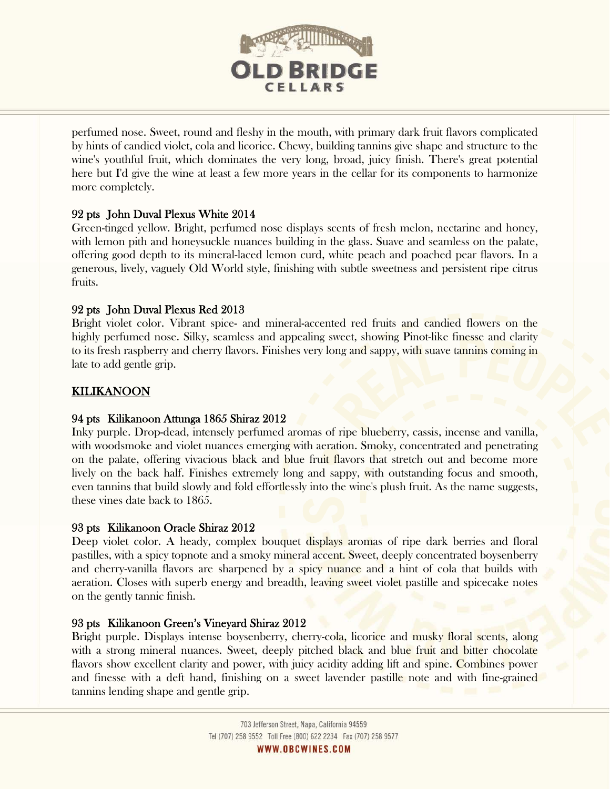

perfumed nose. Sweet, round and fleshy in the mouth, with primary dark fruit flavors complicated by hints of candied violet, cola and licorice. Chewy, building tannins give shape and structure to the wine's youthful fruit, which dominates the very long, broad, juicy finish. There's great potential here but I'd give the wine at least a few more years in the cellar for its components to harmonize more completely.

# 92 pts John Duval Plexus White 2014

Green-tinged yellow. Bright, perfumed nose displays scents of fresh melon, nectarine and honey, with lemon pith and honeysuckle nuances building in the glass. Suave and seamless on the palate, offering good depth to its mineral-laced lemon curd, white peach and poached pear flavors. In a generous, lively, vaguely Old World style, finishing with subtle sweetness and persistent ripe citrus fruits.

# 92 pts John Duval Plexus Red 2013

Bright violet color. Vibrant spice- and mineral-accented red fruits and candied flowers on the highly perfumed nose. Silky, seamless and appealing sweet, showing Pinot-like finesse and clarity to its fresh raspberry and cherry flavors. Finishes very long and sappy, with suave tannins coming in late to add gentle grip.

# KILIKANOON

l

# 94 pts Kilikanoon Attunga 1865 Shiraz 2012

Inky purple. Drop-dead, intensely perfumed aromas of ripe blueberry, cassis, incense and vanilla, with woodsmoke and violet nuances emerging with aeration. Smoky, concentrated and penetrating on the palate, offering vivacious black and blue fruit flavors that stretch out and become more lively on the back half. Finishes extremely long and sappy, with outstanding focus and smooth, even tannins that build slowly and fold effortlessly into the wine's plush fruit. As the name suggests, these vines date back to 1865.

# 93 pts Kilikanoon Oracle Shiraz 2012

Deep violet color. A heady, complex bouquet displays aromas of ripe dark berries and floral pastilles, with a spicy topnote and a smoky mineral accent. Sweet, deeply concentrated boysenberry and cherry-vanilla flavors are sharpened by a spicy nuance and a hint of cola that builds with aeration. Closes with superb energy and breadth, leaving sweet violet pastille and spicecake notes on the gently tannic finish.

# 93 pts Kilikanoon Green's Vineyard Shiraz 2012

Bright purple. Displays intense boysenberry, cherry-cola, licorice and musky floral scents, along with a strong mineral nuances. Sweet, deeply pitched black and blue fruit and bitter chocolate flavors show excellent clarity and power, with juicy acidity adding lift and spine. Combines power and finesse with a deft hand, finishing on a sweet lavender pastille note and with fine-grained tannins lending shape and gentle grip.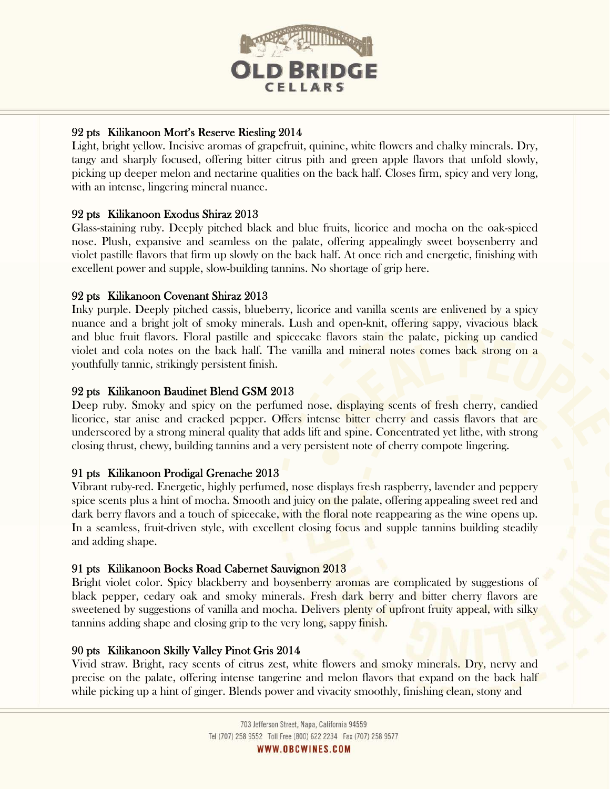

# 92 pts Kilikanoon Mort's Reserve Riesling 2014

Light, bright yellow. Incisive aromas of grapefruit, quinine, white flowers and chalky minerals. Dry, tangy and sharply focused, offering bitter citrus pith and green apple flavors that unfold slowly, picking up deeper melon and nectarine qualities on the back half. Closes firm, spicy and very long, with an intense, lingering mineral nuance.

# 92 pts Kilikanoon Exodus Shiraz 2013

Glass-staining ruby. Deeply pitched black and blue fruits, licorice and mocha on the oak-spiced nose. Plush, expansive and seamless on the palate, offering appealingly sweet boysenberry and violet pastille flavors that firm up slowly on the back half. At once rich and energetic, finishing with excellent power and supple, slow-building tannins. No shortage of grip here.

# 92 pts Kilikanoon Covenant Shiraz 2013

Inky purple. Deeply pitched cassis, blueberry, licorice and vanilla scents are enlivened by a spicy nuance and a bright jolt of smoky minerals. Lush and open-knit, offering sappy, vivacious black and blue fruit flavors. Floral pastille and spicecake flavors stain the palate, picking up candied violet and cola notes on the back half. The vanilla and mineral notes comes back strong on a youthfully tannic, strikingly persistent finish.

# 92 pts Kilikanoon Baudinet Blend GSM 2013

Deep ruby. Smoky and spicy on the perfumed nose, displaying scents of fresh cherry, candied licorice, star anise and cracked pepper. Offers intense bitter cherry and cassis flavors that are underscored by a strong mineral quality that adds lift and spine. Concentrated yet lithe, with strong closing thrust, chewy, building tannins and a very persistent note of cherry compote lingering.

# 91 pts Kilikanoon Prodigal Grenache 2013

Vibrant ruby-red. Energetic, highly perfumed, nose displays fresh raspberry, lavender and peppery spice scents plus a hint of mocha. Smooth and juicy on the palate, offering appealing sweet red and dark berry flavors and a touch of spicecake, with the floral note reappearing as the wine opens up. In a seamless, fruit-driven style, with excellent closing focus and supple tannins building steadily and adding shape.

# 91 pts Kilikanoon Bocks Road Cabernet Sauvignon 2013

Bright violet color. Spicy blackberry and boysenberry aromas are complicated by suggestions of black pepper, cedary oak and smoky minerals. Fresh dark berry and bitter cherry flavors are sweetened by suggestions of vanilla and mocha. Delivers plenty of upfront fruity appeal, with silky tannins adding shape and closing grip to the very long, sappy finish.

# 90 pts Kilikanoon Skilly Valley Pinot Gris 2014

Vivid straw. Bright, racy scents of citrus zest, white flowers and smoky minerals. Dry, nervy and precise on the palate, offering intense tangerine and melon flavors that expand on the back half while picking up a hint of ginger. Blends power and vivacity smoothly, finishing clean, stony and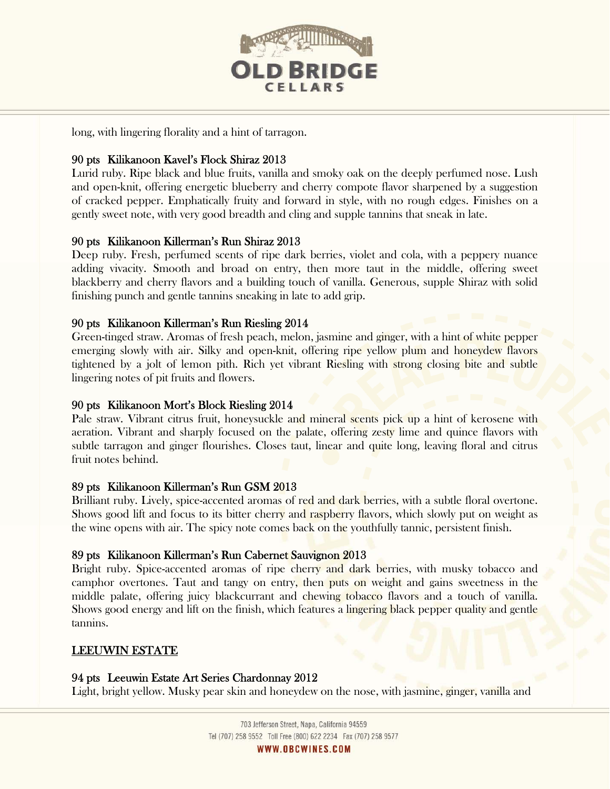

long, with lingering florality and a hint of tarragon.

## 90 pts Kilikanoon Kavel's Flock Shiraz 2013

Lurid ruby. Ripe black and blue fruits, vanilla and smoky oak on the deeply perfumed nose. Lush and open-knit, offering energetic blueberry and cherry compote flavor sharpened by a suggestion of cracked pepper. Emphatically fruity and forward in style, with no rough edges. Finishes on a gently sweet note, with very good breadth and cling and supple tannins that sneak in late.

## 90 pts Kilikanoon Killerman's Run Shiraz 2013

Deep ruby. Fresh, perfumed scents of ripe dark berries, violet and cola, with a peppery nuance adding vivacity. Smooth and broad on entry, then more taut in the middle, offering sweet blackberry and cherry flavors and a building touch of vanilla. Generous, supple Shiraz with solid finishing punch and gentle tannins sneaking in late to add grip.

## 90 pts Kilikanoon Killerman's Run Riesling 2014

Green-tinged straw. Aromas of fresh peach, melon, jasmine and ginger, with a hint of white pepper emerging slowly with air. Silky and open-knit, offering ripe yellow plum and honeydew flavors tightened by a jolt of lemon pith. Rich yet vibrant Riesling with strong closing bite and subtle lingering notes of pit fruits and flowers.

## 90 pts Kilikanoon Mort's Block Riesling 2014

Pale straw. Vibrant citrus fruit, honeysuckle and mineral scents pick up a hint of kerosene with aeration. Vibrant and sharply focused on the palate, offering zesty lime and quince flavors with subtle tarragon and ginger flourishes. Closes taut, linear and quite long, leaving floral and citrus fruit notes behind.

## 89 pts Kilikanoon Killerman's Run GSM 2013

Brilliant ruby. Lively, spice-accented aromas of red and dark berries, with a subtle floral overtone. Shows good lift and focus to its bitter cherry and raspberry flavors, which slowly put on weight as the wine opens with air. The spicy note comes back on the youthfully tannic, persistent finish.

## 89 pts Kilikanoon Killerman's Run Cabernet Sauvignon 2013

Bright ruby. Spice-accented aromas of ripe cherry and dark berries, with musky tobacco and camphor overtones. Taut and tangy on entry, then puts on weight and gains sweetness in the middle palate, offering juicy blackcurrant and chewing tobacco flavors and a touch of vanilla. Shows good energy and lift on the finish, which features a lingering black pepper quality and gentle tannins.

## LEEUWIN ESTATE

## 94 pts Leeuwin Estate Art Series Chardonnay 2012

Light, bright yellow. Musky pear skin and honeydew on the nose, with jasmine, ginger, vanilla and

703 Jefferson Street, Napa, California 94559 Tel (707) 258 9552 Toll Free (800) 622 2234 Fax (707) 258 9577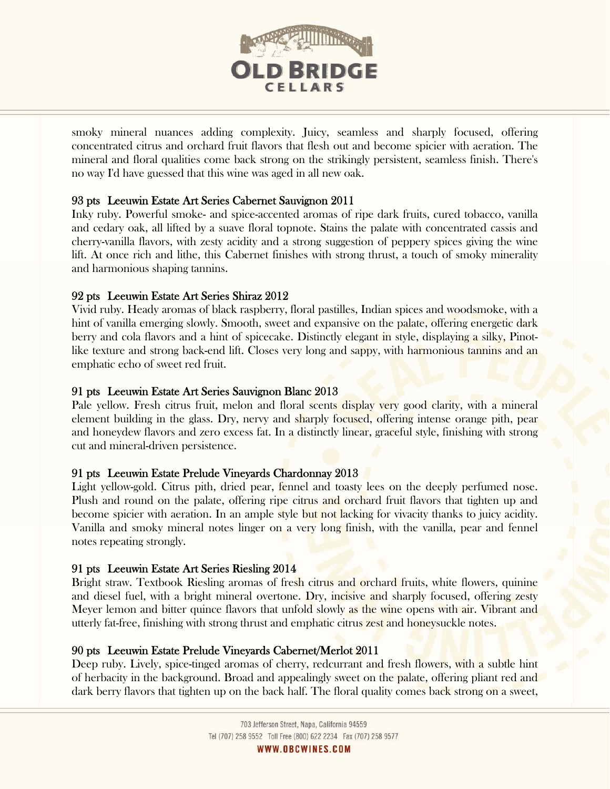

smoky mineral nuances adding complexity. Juicy, seamless and sharply focused, offering concentrated citrus and orchard fruit flavors that flesh out and become spicier with aeration. The mineral and floral qualities come back strong on the strikingly persistent, seamless finish. There's no way I'd have guessed that this wine was aged in all new oak.

# 93 pts Leeuwin Estate Art Series Cabernet Sauvignon 2011

Inky ruby. Powerful smoke- and spice-accented aromas of ripe dark fruits, cured tobacco, vanilla and cedary oak, all lifted by a suave floral topnote. Stains the palate with concentrated cassis and cherry-vanilla flavors, with zesty acidity and a strong suggestion of peppery spices giving the wine lift. At once rich and lithe, this Cabernet finishes with strong thrust, a touch of smoky minerality and harmonious shaping tannins.

## 92 pts Leeuwin Estate Art Series Shiraz 2012

Vivid ruby. Heady aromas of black raspberry, floral pastilles, Indian spices and woodsmoke, with a hint of vanilla emerging slowly. Smooth, sweet and expansive on the palate, offering energetic dark berry and cola flavors and a hint of spicecake. Distinctly elegant in style, displaying a silky, Pinotlike texture and strong back-end lift. Closes very long and sappy, with harmonious tanning and an emphatic echo of sweet red fruit.

## 91 pts Leeuwin Estate Art Series Sauvignon Blanc 2013

Pale yellow. Fresh citrus fruit, melon and floral scents display very good clarity, with a mineral element building in the glass. Dry, nervy and sharply focused, offering intense orange pith, pear and honeydew flavors and zero excess fat. In a distinctly linear, graceful style, finishing with strong cut and mineral-driven persistence.

## 91 pts Leeuwin Estate Prelude Vineyards Chardonnay 2013

Light yellow-gold. Citrus pith, dried pear, fennel and toasty lees on the deeply perfumed nose. Plush and round on the palate, offering ripe citrus and orchard fruit flavors that tighten up and become spicier with aeration. In an ample style but not lacking for vivacity thanks to juicy acidity. Vanilla and smoky mineral notes linger on a very long finish, with the vanilla, pear and fennel notes repeating strongly.

## 91 pts Leeuwin Estate Art Series Riesling 2014

Bright straw. Textbook Riesling aromas of fresh citrus and orchard fruits, white flowers, quinine and diesel fuel, with a bright mineral overtone. Dry, incisive and sharply focused, offering zesty Meyer lemon and bitter quince flavors that unfold slowly as the wine opens with air. Vibrant and utterly fat-free, finishing with strong thrust and emphatic citrus zest and honeysuckle notes.

## 90 pts Leeuwin Estate Prelude Vineyards Cabernet/Merlot 2011

Deep ruby. Lively, spice-tinged aromas of cherry, redcurrant and fresh flowers, with a subtle hint of herbacity in the background. Broad and appealingly sweet on the palate, offering pliant red and dark berry flavors that tighten up on the back half. The floral quality comes back strong on a sweet,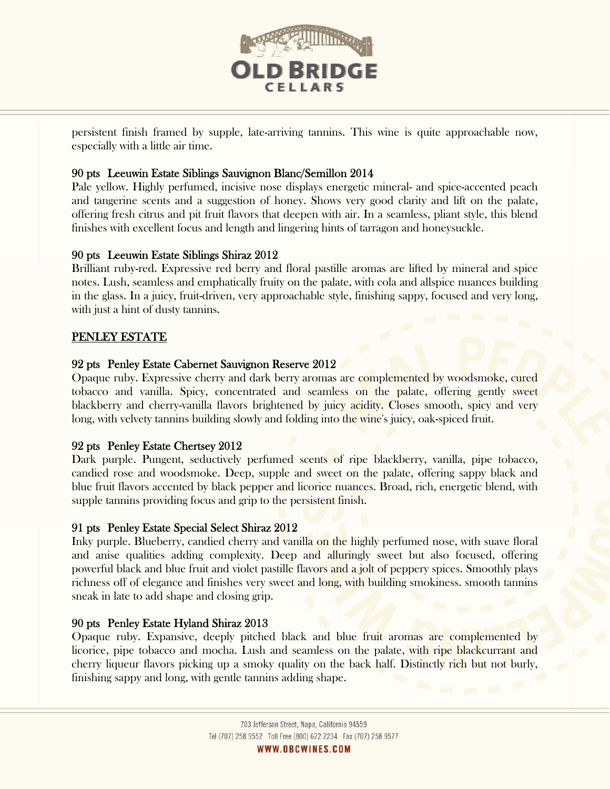

persistent finish framed by supple, late-arriving tannins. This wine is quite approachable now, especially with a little air time.

# 90 pts Leeuwin Estate Siblings Sauvignon Blanc/Semillon 2014

Pale yellow. Highly perfumed, incisive nose displays energetic mineral- and spice-accented peach and tangerine scents and a suggestion of honey. Shows very good clarity and lift on the palate, offering fresh citrus and pit fruit flavors that deepen with air. In a seamless, pliant style, this blend finishes with excellent focus and length and lingering hints of tarragon and honeysuckle.

# 90 pts Leeuwin Estate Siblings Shiraz 2012

Brilliant ruby-red. Expressive red berry and floral pastille aromas are lifted by mineral and spice notes. Lush, seamless and emphatically fruity on the palate, with cola and allspice nuances building in the glass. In a juicy, fruit-driven, very approachable style, finishing sappy, focused and very long, with just a hint of dusty tannins.

# PENLEY ESTATE

# 92 pts Penley Estate Cabernet Sauvignon Reserve 2012

Opaque ruby. Expressive cherry and dark berry aromas are complemented by woodsmoke, cured tobacco and vanilla. Spicy, concentrated and seamless on the palate, offering gently sweet blackberry and cherry-vanilla flavors brightened by juicy acidity. Closes smooth, spicy and very long, with velvety tannins building slowly and folding into the wine's juicy, oak-spiced fruit.

# 92 pts Penley Estate Chertsey 2012

Dark purple. Pungent, seductively perfumed scents of ripe blackberry, vanilla, pipe tobacco, candied rose and woodsmoke. Deep, supple and sweet on the palate, offering sappy black and blue fruit flavors accented by black pepper and licorice nuances. Broad, rich, energetic blend, with supple tannins providing focus and grip to the persistent finish.

# 91 pts Penley Estate Special Select Shiraz 2012

Inky purple. Blueberry, candied cherry and vanilla on the highly perfumed nose, with suave floral and anise qualities adding complexity. Deep and alluringly sweet but also focused, offering powerful black and blue fruit and violet pastille flavors and a jolt of peppery spices. Smoothly plays richness off of elegance and finishes very sweet and long, with building smokiness. smooth tannins sneak in late to add shape and closing grip.

# 90 pts Penley Estate Hyland Shiraz 2013

L

Opaque ruby. Expansive, deeply pitched black and blue fruit aromas are complemented by licorice, pipe tobacco and mocha. Lush and seamless on the palate, with ripe blackcurrant and cherry liqueur flavors picking up a smoky quality on the back half. Distinctly rich but not burly, finishing sappy and long, with gentle tannins adding shape.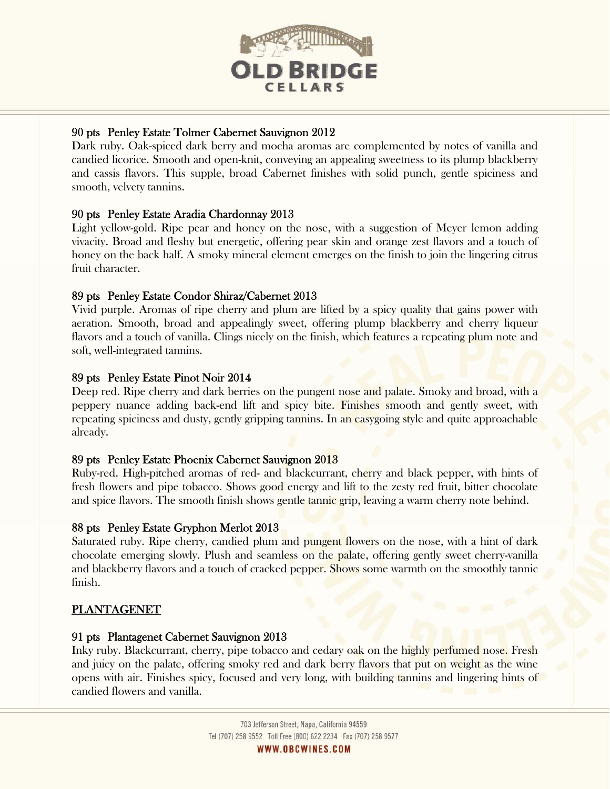

# 90 pts Penley Estate Tolmer Cabernet Sauvignon 2012

Dark ruby. Oak-spiced dark berry and mocha aromas are complemented by notes of vanilla and candied licorice. Smooth and open-knit, conveying an appealing sweetness to its plump blackberry and cassis flavors. This supple, broad Cabernet finishes with solid punch, gentle spiciness and smooth, velvety tannins.

# 90 pts Penley Estate Aradia Chardonnay 2013

Light yellow-gold. Ripe pear and honey on the nose, with a suggestion of Meyer lemon adding vivacity. Broad and fleshy but energetic, offering pear skin and orange zest flavors and a touch of honey on the back half. A smoky mineral element emerges on the finish to join the lingering citrus fruit character.

# 89 pts Penley Estate Condor Shiraz/Cabernet 2013

Vivid purple. Aromas of ripe cherry and plum are lifted by a spicy quality that gains power with aeration. Smooth, broad and appealingly sweet, offering plump blackberry and cherry liqueur flavors and a touch of vanilla. Clings nicely on the finish, which features a repeating plum note and soft, well-integrated tannins.

# 89 pts Penley Estate Pinot Noir 2014

Deep red. Ripe cherry and dark berries on the pungent nose and palate. Smoky and broad, with a peppery nuance adding back-end lift and spicy bite. Finishes smooth and gently sweet, with repeating spiciness and dusty, gently gripping tannins. In an easygoing style and quite approachable already.

# 89 pts Penley Estate Phoenix Cabernet Sauvignon 2013

Ruby-red. High-pitched aromas of red- and blackcurrant, cherry and black pepper, with hints of fresh flowers and pipe tobacco. Shows good energy and lift to the zesty red fruit, bitter chocolate and spice flavors. The smooth finish shows gentle tannic grip, leaving a warm cherry note behind.

# 88 pts Penley Estate Gryphon Merlot 2013

Saturated ruby. Ripe cherry, candied plum and pungent flowers on the nose, with a hint of dark chocolate emerging slowly. Plush and seamless on the palate, offering gently sweet cherry-vanilla and blackberry flavors and a touch of cracked pepper. Shows some warmth on the smoothly tannic finish.

# PLANTAGENET

L

# 91 pts Plantagenet Cabernet Sauvignon 2013

Inky ruby. Blackcurrant, cherry, pipe tobacco and cedary oak on the highly perfumed nose. Fresh and juicy on the palate, offering smoky red and dark berry flavors that put on weight as the wine opens with air. Finishes spicy, focused and very long, with building tannins and lingering hints of candied flowers and vanilla.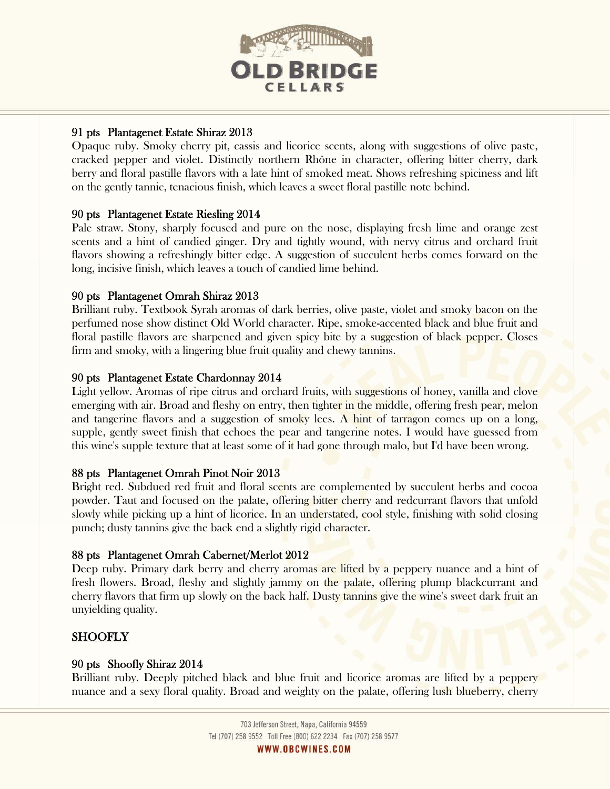

# 91 pts Plantagenet Estate Shiraz 2013

Opaque ruby. Smoky cherry pit, cassis and licorice scents, along with suggestions of olive paste, cracked pepper and violet. Distinctly northern Rhône in character, offering bitter cherry, dark berry and floral pastille flavors with a late hint of smoked meat. Shows refreshing spiciness and lift on the gently tannic, tenacious finish, which leaves a sweet floral pastille note behind.

## 90 pts Plantagenet Estate Riesling 2014

Pale straw. Stony, sharply focused and pure on the nose, displaying fresh lime and orange zest scents and a hint of candied ginger. Dry and tightly wound, with nervy citrus and orchard fruit flavors showing a refreshingly bitter edge. A suggestion of succulent herbs comes forward on the long, incisive finish, which leaves a touch of candied lime behind.

## 90 pts Plantagenet Omrah Shiraz 2013

Brilliant ruby. Textbook Syrah aromas of dark berries, olive paste, violet and smoky bacon on the perfumed nose show distinct Old World character. Ripe, smoke-accented black and blue fruit and floral pastille flavors are sharpened and given spicy bite by a suggestion of black pepper. Closes firm and smoky, with a lingering blue fruit quality and chewy tannins.

## 90 pts Plantagenet Estate Chardonnay 2014

Light yellow. Aromas of ripe citrus and orchard fruits, with suggestions of honey, vanilla and clove emerging with air. Broad and fleshy on entry, then tighter in the middle, offering fresh pear, melon and tangerine flavors and a suggestion of smoky lees. A hint of tarragon comes up on a long, supple, gently sweet finish that echoes the pear and tangerine notes. I would have guessed from this wine's supple texture that at least some of it had gone through malo, but I'd have been wrong.

## 88 pts Plantagenet Omrah Pinot Noir 2013

Bright red. Subdued red fruit and floral scents are complemented by succulent herbs and cocoa powder. Taut and focused on the palate, offering bitter cherry and redcurrant flavors that unfold slowly while picking up a hint of licorice. In an understated, cool style, finishing with solid closing punch; dusty tannins give the back end a slightly rigid character.

## 88 pts Plantagenet Omrah Cabernet/Merlot 2012

Deep ruby. Primary dark berry and cherry aromas are lifted by a peppery nuance and a hint of fresh flowers. Broad, fleshy and slightly jammy on the palate, offering plump blackcurrant and cherry flavors that firm up slowly on the back half. Dusty tannins give the wine's sweet dark fruit an unyielding quality.

# **SHOOFLY**

## 90 pts Shoofly Shiraz 2014

Brilliant ruby. Deeply pitched black and blue fruit and licorice aromas are lifted by a peppery nuance and a sexy floral quality. Broad and weighty on the palate, offering lush blueberry, cherry